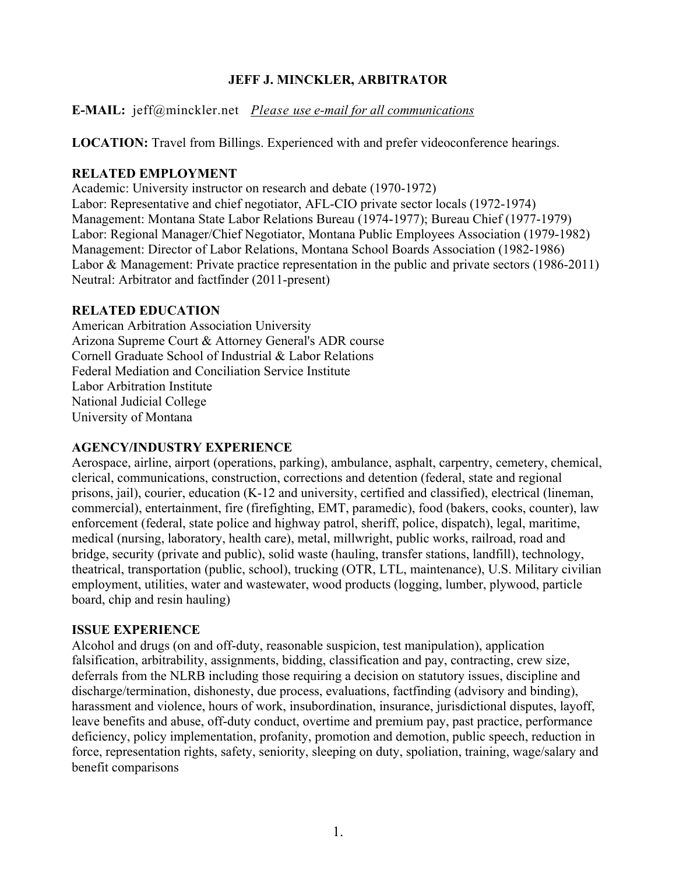# **JEFF J. MINCKLER, ARBITRATOR**

**E-MAIL:** jeff@minckler.net *Please use e-mail for all communications*

**LOCATION:** Travel from Billings. Experienced with and prefer videoconference hearings.

# **RELATED EMPLOYMENT**

Academic: University instructor on research and debate (1970-1972) Labor: Representative and chief negotiator, AFL-CIO private sector locals (1972-1974) Management: Montana State Labor Relations Bureau (1974-1977); Bureau Chief (1977-1979) Labor: Regional Manager/Chief Negotiator, Montana Public Employees Association (1979-1982) Management: Director of Labor Relations, Montana School Boards Association (1982-1986) Labor & Management: Private practice representation in the public and private sectors (1986-2011) Neutral: Arbitrator and factfinder (2011-present)

# **RELATED EDUCATION**

American Arbitration Association University Arizona Supreme Court & Attorney General's ADR course Cornell Graduate School of Industrial & Labor Relations Federal Mediation and Conciliation Service Institute Labor Arbitration Institute National Judicial College University of Montana

## **AGENCY/INDUSTRY EXPERIENCE**

Aerospace, airline, airport (operations, parking), ambulance, asphalt, carpentry, cemetery, chemical, clerical, communications, construction, corrections and detention (federal, state and regional prisons, jail), courier, education (K-12 and university, certified and classified), electrical (lineman, commercial), entertainment, fire (firefighting, EMT, paramedic), food (bakers, cooks, counter), law enforcement (federal, state police and highway patrol, sheriff, police, dispatch), legal, maritime, medical (nursing, laboratory, health care), metal, millwright, public works, railroad, road and bridge, security (private and public), solid waste (hauling, transfer stations, landfill), technology, theatrical, transportation (public, school), trucking (OTR, LTL, maintenance), U.S. Military civilian employment, utilities, water and wastewater, wood products (logging, lumber, plywood, particle board, chip and resin hauling)

## **ISSUE EXPERIENCE**

Alcohol and drugs (on and off-duty, reasonable suspicion, test manipulation), application falsification, arbitrability, assignments, bidding, classification and pay, contracting, crew size, deferrals from the NLRB including those requiring a decision on statutory issues, discipline and discharge/termination, dishonesty, due process, evaluations, factfinding (advisory and binding), harassment and violence, hours of work, insubordination, insurance, jurisdictional disputes, layoff, leave benefits and abuse, off-duty conduct, overtime and premium pay, past practice, performance deficiency, policy implementation, profanity, promotion and demotion, public speech, reduction in force, representation rights, safety, seniority, sleeping on duty, spoliation, training, wage/salary and benefit comparisons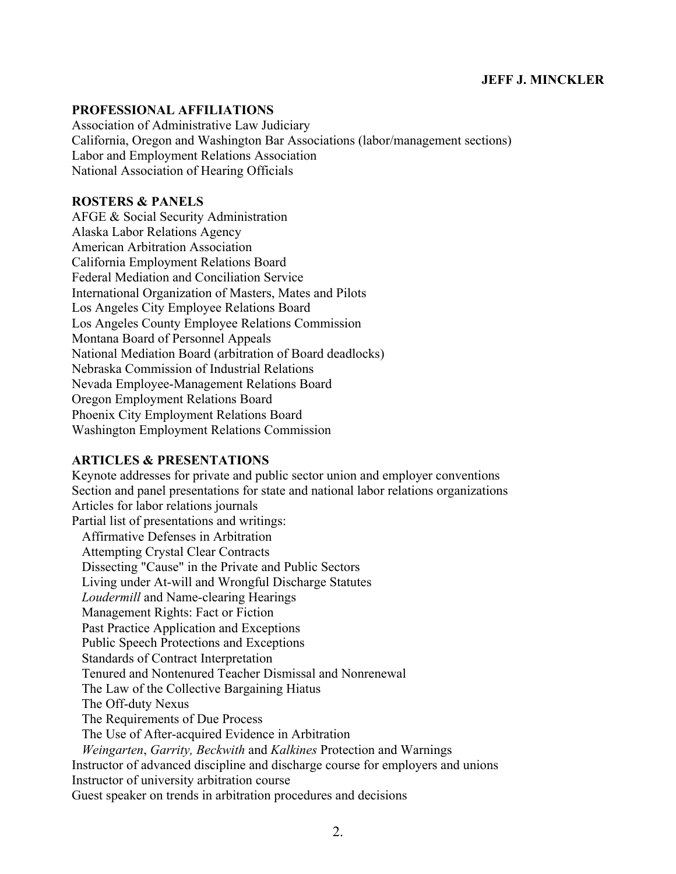### **JEFF J. MINCKLER**

### **PROFESSIONAL AFFILIATIONS**

Association of Administrative Law Judiciary California, Oregon and Washington Bar Associations (labor/management sections) Labor and Employment Relations Association National Association of Hearing Officials

#### **ROSTERS & PANELS**

AFGE & Social Security Administration Alaska Labor Relations Agency American Arbitration Association California Employment Relations Board Federal Mediation and Conciliation Service International Organization of Masters, Mates and Pilots Los Angeles City Employee Relations Board Los Angeles County Employee Relations Commission Montana Board of Personnel Appeals National Mediation Board (arbitration of Board deadlocks) Nebraska Commission of Industrial Relations Nevada Employee-Management Relations Board Oregon Employment Relations Board Phoenix City Employment Relations Board Washington Employment Relations Commission

#### **ARTICLES & PRESENTATIONS**

Keynote addresses for private and public sector union and employer conventions Section and panel presentations for state and national labor relations organizations Articles for labor relations journals Partial list of presentations and writings: Affirmative Defenses in Arbitration Attempting Crystal Clear Contracts Dissecting "Cause" in the Private and Public Sectors Living under At-will and Wrongful Discharge Statutes *Loudermill* and Name-clearing Hearings Management Rights: Fact or Fiction Past Practice Application and Exceptions Public Speech Protections and Exceptions Standards of Contract Interpretation Tenured and Nontenured Teacher Dismissal and Nonrenewal The Law of the Collective Bargaining Hiatus The Off-duty Nexus The Requirements of Due Process The Use of After-acquired Evidence in Arbitration *Weingarten*, *Garrity, Beckwith* and *Kalkines* Protection and Warnings Instructor of advanced discipline and discharge course for employers and unions Instructor of university arbitration course Guest speaker on trends in arbitration procedures and decisions